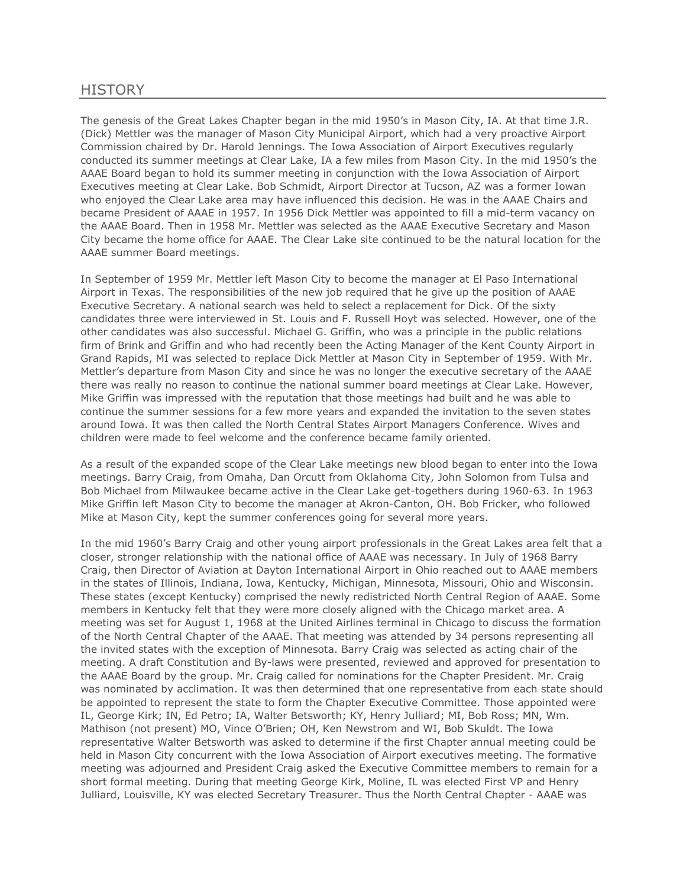## **HISTORY**

The genesis of the Great Lakes Chapter began in the mid 1950's in Mason City, IA. At that time J.R. (Dick) Mettler was the manager of Mason City Municipal Airport, which had a very proactive Airport Commission chaired by Dr. Harold Jennings. The Iowa Association of Airport Executives regularly conducted its summer meetings at Clear Lake, IA a few miles from Mason City. In the mid 1950's the AAAE Board began to hold its summer meeting in conjunction with the Iowa Association of Airport Executives meeting at Clear Lake. Bob Schmidt, Airport Director at Tucson, AZ was a former Iowan who enjoyed the Clear Lake area may have influenced this decision. He was in the AAAE Chairs and became President of AAAE in 1957. In 1956 Dick Mettler was appointed to fill a mid-term vacancy on the AAAE Board. Then in 1958 Mr. Mettler was selected as the AAAE Executive Secretary and Mason City became the home office for AAAE. The Clear Lake site continued to be the natural location for the AAAE summer Board meetings.

In September of 1959 Mr. Mettler left Mason City to become the manager at El Paso International Airport in Texas. The responsibilities of the new job required that he give up the position of AAAE Executive Secretary. A national search was held to select a replacement for Dick. Of the sixty candidates three were interviewed in St. Louis and F. Russell Hoyt was selected. However, one of the other candidates was also successful. Michael G. Griffin, who was a principle in the public relations firm of Brink and Griffin and who had recently been the Acting Manager of the Kent County Airport in Grand Rapids, MI was selected to replace Dick Mettler at Mason City in September of 1959. With Mr. Mettler's departure from Mason City and since he was no longer the executive secretary of the AAAE there was really no reason to continue the national summer board meetings at Clear Lake. However, Mike Griffin was impressed with the reputation that those meetings had built and he was able to continue the summer sessions for a few more years and expanded the invitation to the seven states around Iowa. It was then called the North Central States Airport Managers Conference. Wives and children were made to feel welcome and the conference became family oriented.

As a result of the expanded scope of the Clear Lake meetings new blood began to enter into the Iowa meetings. Barry Craig, from Omaha, Dan Orcutt from Oklahoma City, John Solomon from Tulsa and Bob Michael from Milwaukee became active in the Clear Lake get-togethers during 1960-63. In 1963 Mike Griffin left Mason City to become the manager at Akron-Canton, OH. Bob Fricker, who followed Mike at Mason City, kept the summer conferences going for several more years.

In the mid 1960's Barry Craig and other young airport professionals in the Great Lakes area felt that a closer, stronger relationship with the national office of AAAE was necessary. In July of 1968 Barry Craig, then Director of Aviation at Dayton International Airport in Ohio reached out to AAAE members in the states of Illinois, Indiana, Iowa, Kentucky, Michigan, Minnesota, Missouri, Ohio and Wisconsin. These states (except Kentucky) comprised the newly redistricted North Central Region of AAAE. Some members in Kentucky felt that they were more closely aligned with the Chicago market area. A meeting was set for August 1, 1968 at the United Airlines terminal in Chicago to discuss the formation of the North Central Chapter of the AAAE. That meeting was attended by 34 persons representing all the invited states with the exception of Minnesota. Barry Craig was selected as acting chair of the meeting. A draft Constitution and By-laws were presented, reviewed and approved for presentation to the AAAE Board by the group. Mr. Craig called for nominations for the Chapter President. Mr. Craig was nominated by acclimation. It was then determined that one representative from each state should be appointed to represent the state to form the Chapter Executive Committee. Those appointed were IL, George Kirk; IN, Ed Petro; IA, Walter Betsworth; KY, Henry Julliard; MI, Bob Ross; MN, Wm. Mathison (not present) MO, Vince O'Brien; OH, Ken Newstrom and WI, Bob Skuldt. The Iowa representative Walter Betsworth was asked to determine if the first Chapter annual meeting could be held in Mason City concurrent with the Iowa Association of Airport executives meeting. The formative meeting was adjourned and President Craig asked the Executive Committee members to remain for a short formal meeting. During that meeting George Kirk, Moline, IL was elected First VP and Henry Julliard, Louisville, KY was elected Secretary Treasurer. Thus the North Central Chapter - AAAE was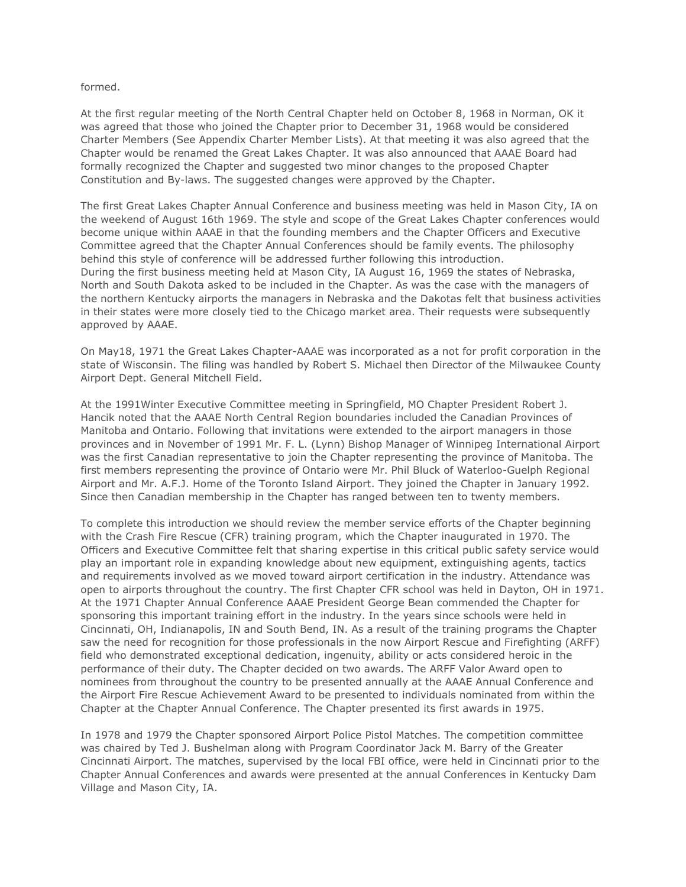## formed.

At the first regular meeting of the North Central Chapter held on October 8, 1968 in Norman, OK it was agreed that those who joined the Chapter prior to December 31, 1968 would be considered Charter Members (See Appendix Charter Member Lists). At that meeting it was also agreed that the Chapter would be renamed the Great Lakes Chapter. It was also announced that AAAE Board had formally recognized the Chapter and suggested two minor changes to the proposed Chapter Constitution and By-laws. The suggested changes were approved by the Chapter.

The first Great Lakes Chapter Annual Conference and business meeting was held in Mason City, IA on the weekend of August 16th 1969. The style and scope of the Great Lakes Chapter conferences would become unique within AAAE in that the founding members and the Chapter Officers and Executive Committee agreed that the Chapter Annual Conferences should be family events. The philosophy behind this style of conference will be addressed further following this introduction. During the first business meeting held at Mason City, IA August 16, 1969 the states of Nebraska, North and South Dakota asked to be included in the Chapter. As was the case with the managers of the northern Kentucky airports the managers in Nebraska and the Dakotas felt that business activities in their states were more closely tied to the Chicago market area. Their requests were subsequently approved by AAAE.

On May18, 1971 the Great Lakes Chapter-AAAE was incorporated as a not for profit corporation in the state of Wisconsin. The filing was handled by Robert S. Michael then Director of the Milwaukee County Airport Dept. General Mitchell Field.

At the 1991Winter Executive Committee meeting in Springfield, MO Chapter President Robert J. Hancik noted that the AAAE North Central Region boundaries included the Canadian Provinces of Manitoba and Ontario. Following that invitations were extended to the airport managers in those provinces and in November of 1991 Mr. F. L. (Lynn) Bishop Manager of Winnipeg International Airport was the first Canadian representative to join the Chapter representing the province of Manitoba. The first members representing the province of Ontario were Mr. Phil Bluck of Waterloo-Guelph Regional Airport and Mr. A.F.J. Home of the Toronto Island Airport. They joined the Chapter in January 1992. Since then Canadian membership in the Chapter has ranged between ten to twenty members.

To complete this introduction we should review the member service efforts of the Chapter beginning with the Crash Fire Rescue (CFR) training program, which the Chapter inaugurated in 1970. The Officers and Executive Committee felt that sharing expertise in this critical public safety service would play an important role in expanding knowledge about new equipment, extinguishing agents, tactics and requirements involved as we moved toward airport certification in the industry. Attendance was open to airports throughout the country. The first Chapter CFR school was held in Dayton, OH in 1971. At the 1971 Chapter Annual Conference AAAE President George Bean commended the Chapter for sponsoring this important training effort in the industry. In the years since schools were held in Cincinnati, OH, Indianapolis, IN and South Bend, IN. As a result of the training programs the Chapter saw the need for recognition for those professionals in the now Airport Rescue and Firefighting (ARFF) field who demonstrated exceptional dedication, ingenuity, ability or acts considered heroic in the performance of their duty. The Chapter decided on two awards. The ARFF Valor Award open to nominees from throughout the country to be presented annually at the AAAE Annual Conference and the Airport Fire Rescue Achievement Award to be presented to individuals nominated from within the Chapter at the Chapter Annual Conference. The Chapter presented its first awards in 1975.

In 1978 and 1979 the Chapter sponsored Airport Police Pistol Matches. The competition committee was chaired by Ted J. Bushelman along with Program Coordinator Jack M. Barry of the Greater Cincinnati Airport. The matches, supervised by the local FBI office, were held in Cincinnati prior to the Chapter Annual Conferences and awards were presented at the annual Conferences in Kentucky Dam Village and Mason City, IA.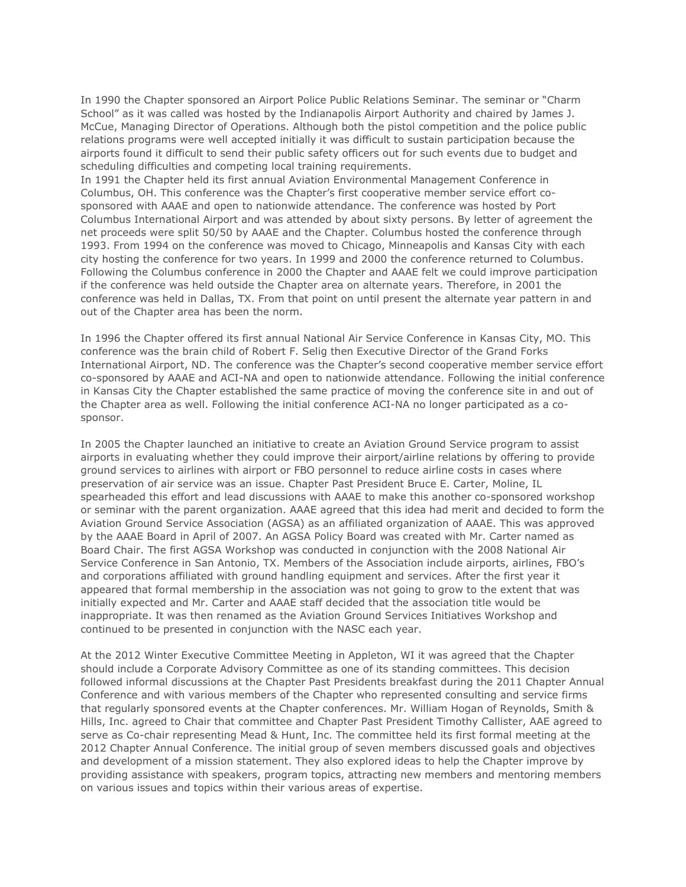In 1990 the Chapter sponsored an Airport Police Public Relations Seminar. The seminar or "Charm School" as it was called was hosted by the Indianapolis Airport Authority and chaired by James J. McCue, Managing Director of Operations. Although both the pistol competition and the police public relations programs were well accepted initially it was difficult to sustain participation because the airports found it difficult to send their public safety officers out for such events due to budget and scheduling difficulties and competing local training requirements.

In 1991 the Chapter held its first annual Aviation Environmental Management Conference in Columbus, OH. This conference was the Chapter's first cooperative member service effort cosponsored with AAAE and open to nationwide attendance. The conference was hosted by Port Columbus International Airport and was attended by about sixty persons. By letter of agreement the net proceeds were split 50/50 by AAAE and the Chapter. Columbus hosted the conference through 1993. From 1994 on the conference was moved to Chicago, Minneapolis and Kansas City with each city hosting the conference for two years. In 1999 and 2000 the conference returned to Columbus. Following the Columbus conference in 2000 the Chapter and AAAE felt we could improve participation if the conference was held outside the Chapter area on alternate years. Therefore, in 2001 the conference was held in Dallas, TX. From that point on until present the alternate year pattern in and out of the Chapter area has been the norm.

In 1996 the Chapter offered its first annual National Air Service Conference in Kansas City, MO. This conference was the brain child of Robert F. Selig then Executive Director of the Grand Forks International Airport, ND. The conference was the Chapter's second cooperative member service effort co-sponsored by AAAE and ACI-NA and open to nationwide attendance. Following the initial conference in Kansas City the Chapter established the same practice of moving the conference site in and out of the Chapter area as well. Following the initial conference ACI-NA no longer participated as a cosponsor.

In 2005 the Chapter launched an initiative to create an Aviation Ground Service program to assist airports in evaluating whether they could improve their airport/airline relations by offering to provide ground services to airlines with airport or FBO personnel to reduce airline costs in cases where preservation of air service was an issue. Chapter Past President Bruce E. Carter, Moline, IL spearheaded this effort and lead discussions with AAAE to make this another co-sponsored workshop or seminar with the parent organization. AAAE agreed that this idea had merit and decided to form the Aviation Ground Service Association (AGSA) as an affiliated organization of AAAE. This was approved by the AAAE Board in April of 2007. An AGSA Policy Board was created with Mr. Carter named as Board Chair. The first AGSA Workshop was conducted in conjunction with the 2008 National Air Service Conference in San Antonio, TX. Members of the Association include airports, airlines, FBO's and corporations affiliated with ground handling equipment and services. After the first year it appeared that formal membership in the association was not going to grow to the extent that was initially expected and Mr. Carter and AAAE staff decided that the association title would be inappropriate. It was then renamed as the Aviation Ground Services Initiatives Workshop and continued to be presented in conjunction with the NASC each year.

At the 2012 Winter Executive Committee Meeting in Appleton, WI it was agreed that the Chapter should include a Corporate Advisory Committee as one of its standing committees. This decision followed informal discussions at the Chapter Past Presidents breakfast during the 2011 Chapter Annual Conference and with various members of the Chapter who represented consulting and service firms that regularly sponsored events at the Chapter conferences. Mr. William Hogan of Reynolds, Smith & Hills, Inc. agreed to Chair that committee and Chapter Past President Timothy Callister, AAE agreed to serve as Co-chair representing Mead & Hunt, Inc. The committee held its first formal meeting at the 2012 Chapter Annual Conference. The initial group of seven members discussed goals and objectives and development of a mission statement. They also explored ideas to help the Chapter improve by providing assistance with speakers, program topics, attracting new members and mentoring members on various issues and topics within their various areas of expertise.